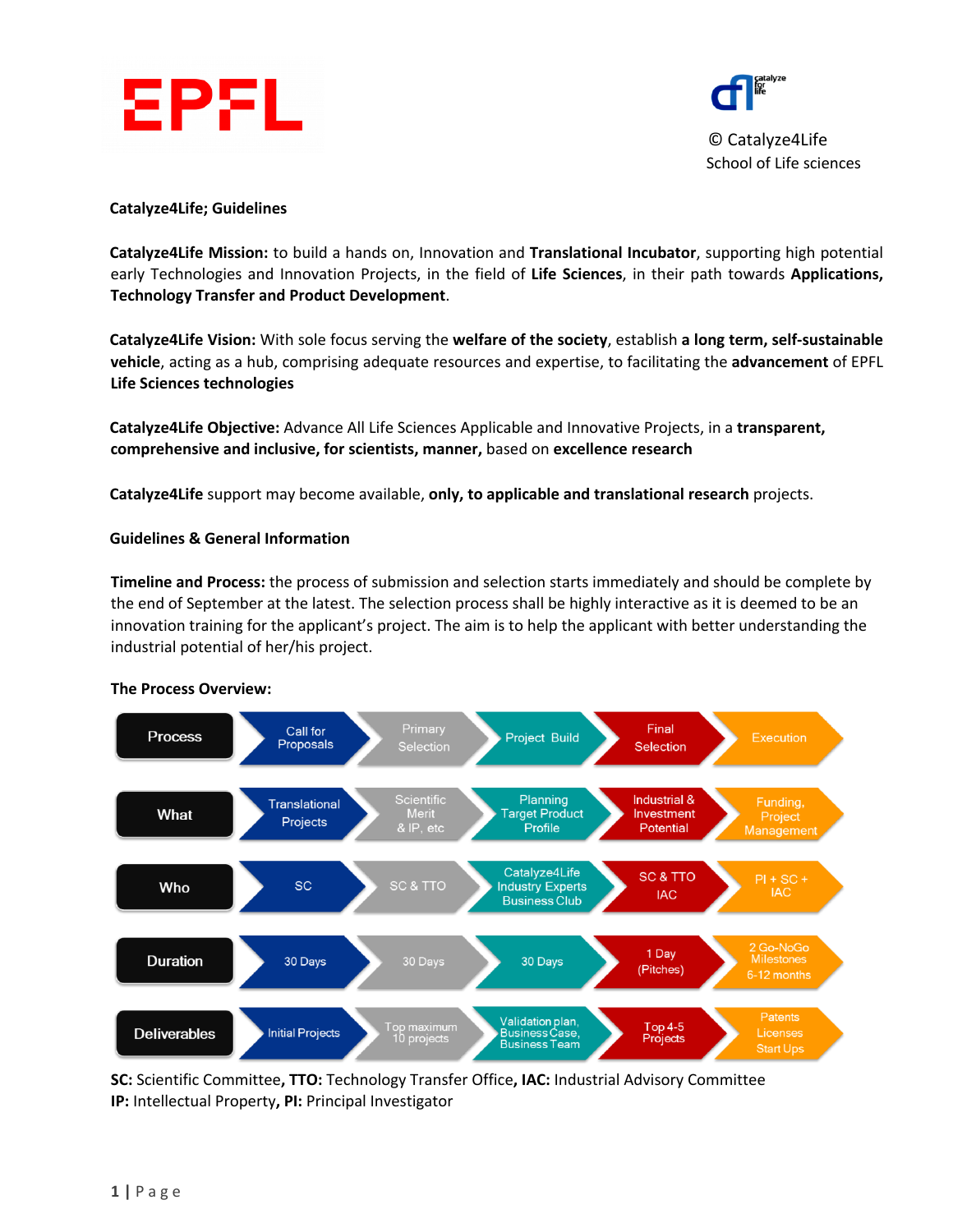



School of Life sciences

### **Catalyze4Life; Guidelines**

**Catalyze4Life Mission:** to build a hands on, Innovation and **Translational Incubator**, supporting high potential early Technologies and Innovation Projects, in the field of **Life Sciences**, in their path towards **Applications, Technology Transfer and Product Development**.

**Catalyze4Life Vision:** With sole focus serving the **welfare of the society**, establish **a long term, self-sustainable vehicle**, acting as a hub, comprising adequate resources and expertise, to facilitating the **advancement** of EPFL **Life Sciences technologies** 

**Catalyze4Life Objective:** Advance All Life Sciences Applicable and Innovative Projects, in a **transparent, comprehensive and inclusive, for scientists, manner,** based on **excellence research**

**Catalyze4Life** support may become available, **only, to applicable and translational research** projects.

### **Guidelines & General Information**

**Timeline and Process:** the process of submission and selection starts immediately and should be complete by the end of September at the latest. The selection process shall be highly interactive as it is deemed to be an innovation training for the applicant's project. The aim is to help the applicant with better understanding the industrial potential of her/his project.



#### **The Process Overview:**

**SC:** Scientific Committee**, TTO:** Technology Transfer Office**, IAC:** Industrial Advisory Committee **IP:** Intellectual Property**, PI:** Principal Investigator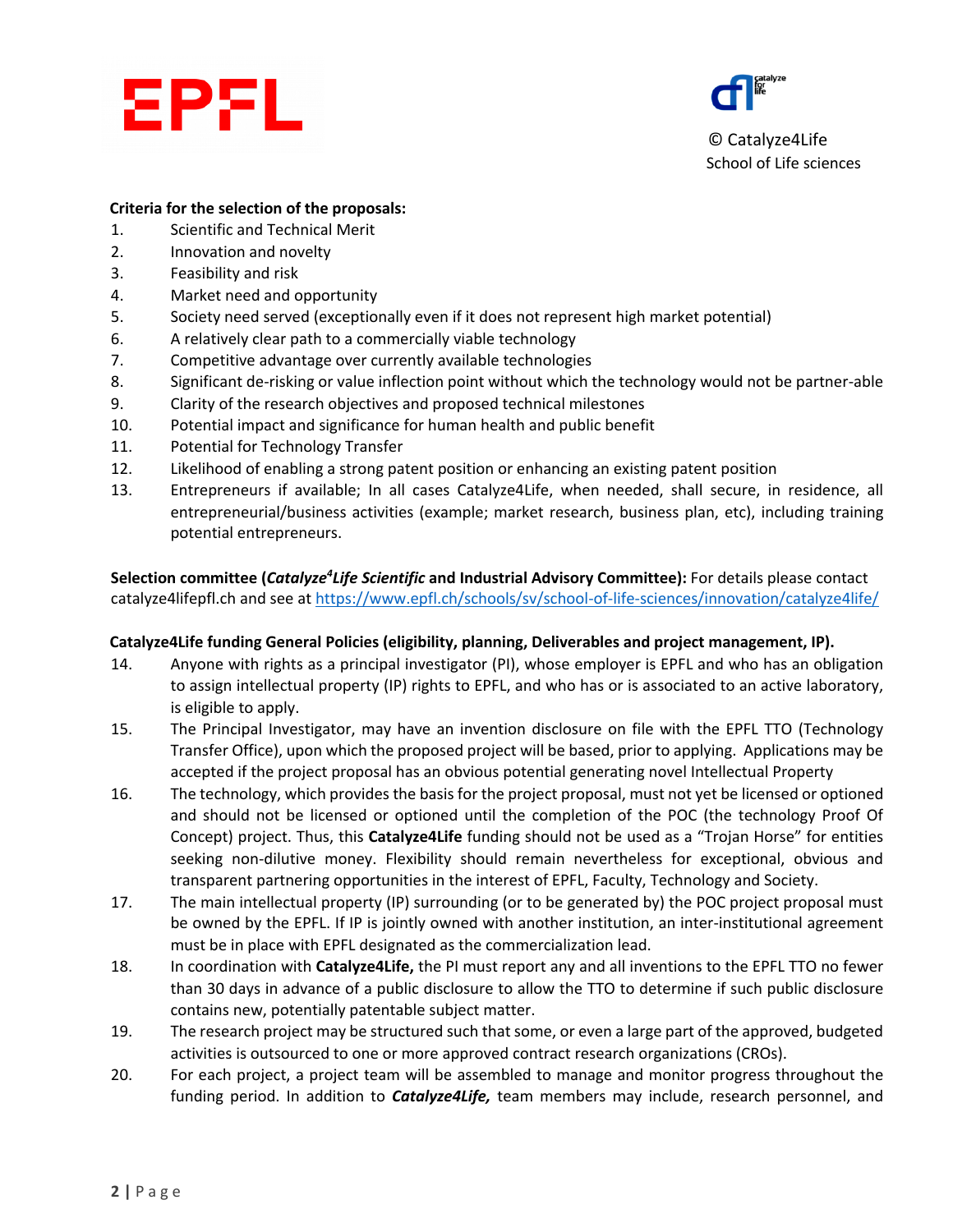



© Catalyze4Life School of Life sciences

## **Criteria for the selection of the proposals:**

- 1. Scientific and Technical Merit
- 2. Innovation and novelty
- 3. Feasibility and risk
- 4. Market need and opportunity
- 5. Society need served (exceptionally even if it does not represent high market potential)
- 6. A relatively clear path to a commercially viable technology
- 7. Competitive advantage over currently available technologies
- 8. Significant de-risking or value inflection point without which the technology would not be partner-able
- 9. Clarity of the research objectives and proposed technical milestones
- 10. Potential impact and significance for human health and public benefit
- 11. Potential for Technology Transfer
- 12. Likelihood of enabling a strong patent position or enhancing an existing patent position
- 13. Entrepreneurs if available; In all cases Catalyze4Life, when needed, shall secure, in residence, all entrepreneurial/business activities (example; market research, business plan, etc), including training potential entrepreneurs.

**Selection committee (Catalyze<sup>4</sup>Life Scientific and Industrial Advisory Committee): For details please contact** catalyze4lifepfl.ch and see at https://www.epfl.ch/schools/sv/school-of-life-sciences/innovation/catalyze4life/

### **Catalyze4Life funding General Policies (eligibility, planning, Deliverables and project management, IP).**

- 14. Anyone with rights as a principal investigator (PI), whose employer is EPFL and who has an obligation to assign intellectual property (IP) rights to EPFL, and who has or is associated to an active laboratory, is eligible to apply.
- 15. The Principal Investigator, may have an invention disclosure on file with the EPFL TTO (Technology Transfer Office), upon which the proposed project will be based, prior to applying. Applications may be accepted if the project proposal has an obvious potential generating novel Intellectual Property
- 16. The technology, which provides the basis for the project proposal, must not yet be licensed or optioned and should not be licensed or optioned until the completion of the POC (the technology Proof Of Concept) project. Thus, this **Catalyze4Life** funding should not be used as a "Trojan Horse" for entities seeking non-dilutive money. Flexibility should remain nevertheless for exceptional, obvious and transparent partnering opportunities in the interest of EPFL, Faculty, Technology and Society.
- 17. The main intellectual property (IP) surrounding (or to be generated by) the POC project proposal must be owned by the EPFL. If IP is jointly owned with another institution, an inter-institutional agreement must be in place with EPFL designated as the commercialization lead.
- 18. In coordination with **Catalyze4Life,** the PI must report any and all inventions to the EPFL TTO no fewer than 30 days in advance of a public disclosure to allow the TTO to determine if such public disclosure contains new, potentially patentable subject matter.
- 19. The research project may be structured such that some, or even a large part of the approved, budgeted activities is outsourced to one or more approved contract research organizations (CROs).
- 20. For each project, a project team will be assembled to manage and monitor progress throughout the funding period. In addition to *Catalyze4Life,* team members may include, research personnel, and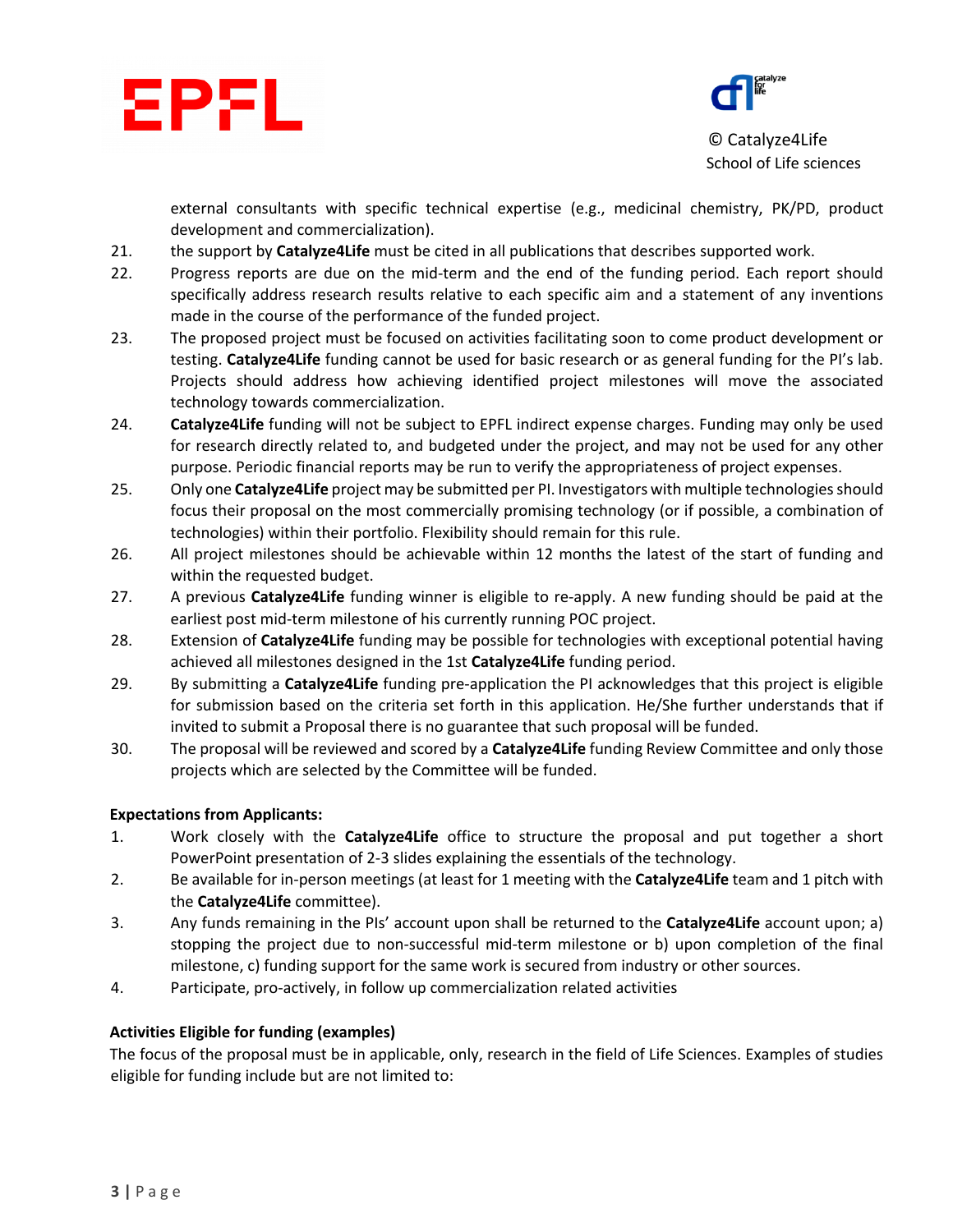



© Catalyze4Life School of Life sciences

external consultants with specific technical expertise (e.g., medicinal chemistry, PK/PD, product development and commercialization).

- 21. the support by **Catalyze4Life** must be cited in all publications that describes supported work.
- 22. Progress reports are due on the mid-term and the end of the funding period. Each report should specifically address research results relative to each specific aim and a statement of any inventions made in the course of the performance of the funded project.
- 23. The proposed project must be focused on activities facilitating soon to come product development or testing. **Catalyze4Life** funding cannot be used for basic research or as general funding for the PI's lab. Projects should address how achieving identified project milestones will move the associated technology towards commercialization.
- 24. **Catalyze4Life** funding will not be subject to EPFL indirect expense charges. Funding may only be used for research directly related to, and budgeted under the project, and may not be used for any other purpose. Periodic financial reports may be run to verify the appropriateness of project expenses.
- 25. Only one **Catalyze4Life** project may be submitted per PI. Investigators with multiple technologies should focus their proposal on the most commercially promising technology (or if possible, a combination of technologies) within their portfolio. Flexibility should remain for this rule.
- 26. All project milestones should be achievable within 12 months the latest of the start of funding and within the requested budget.
- 27. A previous **Catalyze4Life** funding winner is eligible to re-apply. A new funding should be paid at the earliest post mid-term milestone of his currently running POC project.
- 28. Extension of **Catalyze4Life** funding may be possible for technologies with exceptional potential having achieved all milestones designed in the 1st **Catalyze4Life** funding period.
- 29. By submitting a **Catalyze4Life** funding pre-application the PI acknowledges that this project is eligible for submission based on the criteria set forth in this application. He/She further understands that if invited to submit a Proposal there is no guarantee that such proposal will be funded.
- 30. The proposal will be reviewed and scored by a **Catalyze4Life** funding Review Committee and only those projects which are selected by the Committee will be funded.

# **Expectations from Applicants:**

- 1. Work closely with the **Catalyze4Life** office to structure the proposal and put together a short PowerPoint presentation of 2-3 slides explaining the essentials of the technology.
- 2. Be available for in-person meetings (at least for 1 meeting with the **Catalyze4Life** team and 1 pitch with the **Catalyze4Life** committee).
- 3. Any funds remaining in the PIs' account upon shall be returned to the **Catalyze4Life** account upon; a) stopping the project due to non-successful mid-term milestone or b) upon completion of the final milestone, c) funding support for the same work is secured from industry or other sources.
- 4. Participate, pro-actively, in follow up commercialization related activities

# **Activities Eligible for funding (examples)**

The focus of the proposal must be in applicable, only, research in the field of Life Sciences. Examples of studies eligible for funding include but are not limited to: